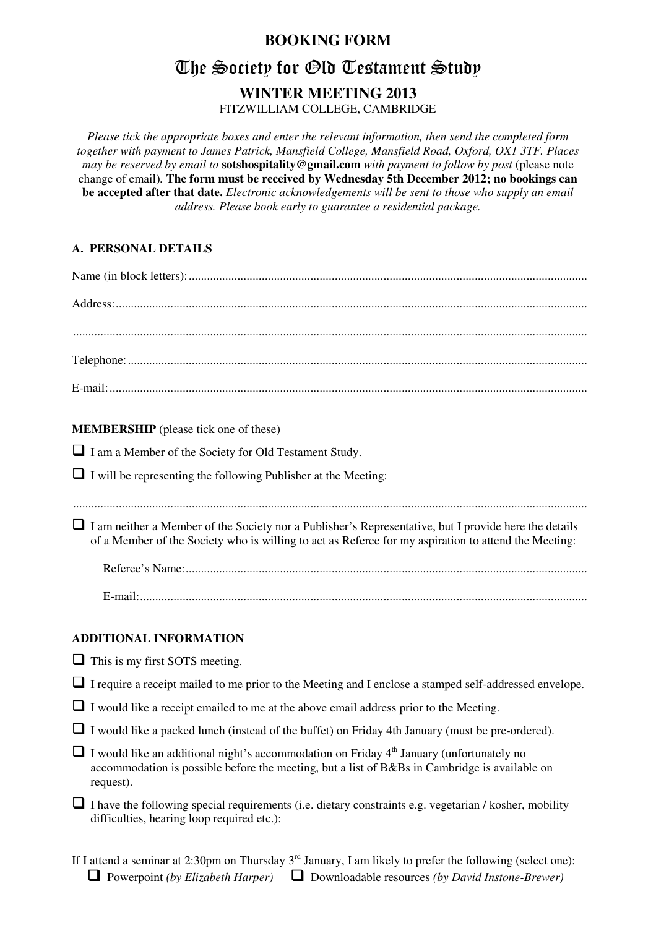## **BOOKING FORM**

# The Society for Old Testament Study

## **WINTER MEETING 2013**

FITZWILLIAM COLLEGE, CAMBRIDGE

*Please tick the appropriate boxes and enter the relevant information, then send the completed form together with payment to James Patrick, Mansfield College, Mansfield Road, Oxford, OX1 3TF. Places may be reserved by email to* **sotshospitality@gmail.com** *with payment to follow by post* (please note change of email)*.* **The form must be received by Wednesday 5th December 2012; no bookings can be accepted after that date.** *Electronic acknowledgements will be sent to those who supply an email address. Please book early to guarantee a residential package.* 

#### **A. PERSONAL DETAILS**

| <b>MEMBERSHIP</b> (please tick one of these)                                                                                                                                                                  |  |  |  |  |  |  |  |
|---------------------------------------------------------------------------------------------------------------------------------------------------------------------------------------------------------------|--|--|--|--|--|--|--|
| I am a Member of the Society for Old Testament Study.                                                                                                                                                         |  |  |  |  |  |  |  |
| $\Box$ I will be representing the following Publisher at the Meeting:                                                                                                                                         |  |  |  |  |  |  |  |
| I am neither a Member of the Society nor a Publisher's Representative, but I provide here the details<br>of a Member of the Society who is willing to act as Referee for my aspiration to attend the Meeting: |  |  |  |  |  |  |  |
|                                                                                                                                                                                                               |  |  |  |  |  |  |  |
|                                                                                                                                                                                                               |  |  |  |  |  |  |  |
| <b>ADDITIONAL INFORMATION</b>                                                                                                                                                                                 |  |  |  |  |  |  |  |
| $\Box$ This is my first SOTS meeting.                                                                                                                                                                         |  |  |  |  |  |  |  |
| I require a receipt mailed to me prior to the Meeting and I enclose a stamped self-addressed envelope.                                                                                                        |  |  |  |  |  |  |  |
| $\Box$ I would like a receipt emailed to me at the above email address prior to the Meeting.                                                                                                                  |  |  |  |  |  |  |  |
| $\Box$ I would like a packed lunch (instead of the buffet) on Friday 4th January (must be pre-ordered).                                                                                                       |  |  |  |  |  |  |  |
| I would like an additional night's accommodation on Friday $4th$ January (unfortunately no<br>accommodation is possible before the meeting, but a list of B&Bs in Cambridge is available on<br>request).      |  |  |  |  |  |  |  |
| I have the following special requirements (i.e. dietary constraints e.g. vegetarian / kosher, mobility<br>difficulties, hearing loop required etc.):                                                          |  |  |  |  |  |  |  |
|                                                                                                                                                                                                               |  |  |  |  |  |  |  |

If I attend a seminar at 2:30pm on Thursday  $3<sup>rd</sup>$  January, I am likely to prefer the following (select one):  $\Box$  Powerpoint *(by Elizabeth Harper)*  $\Box$  Downloadable resources *(by David Instone-Brewer)*